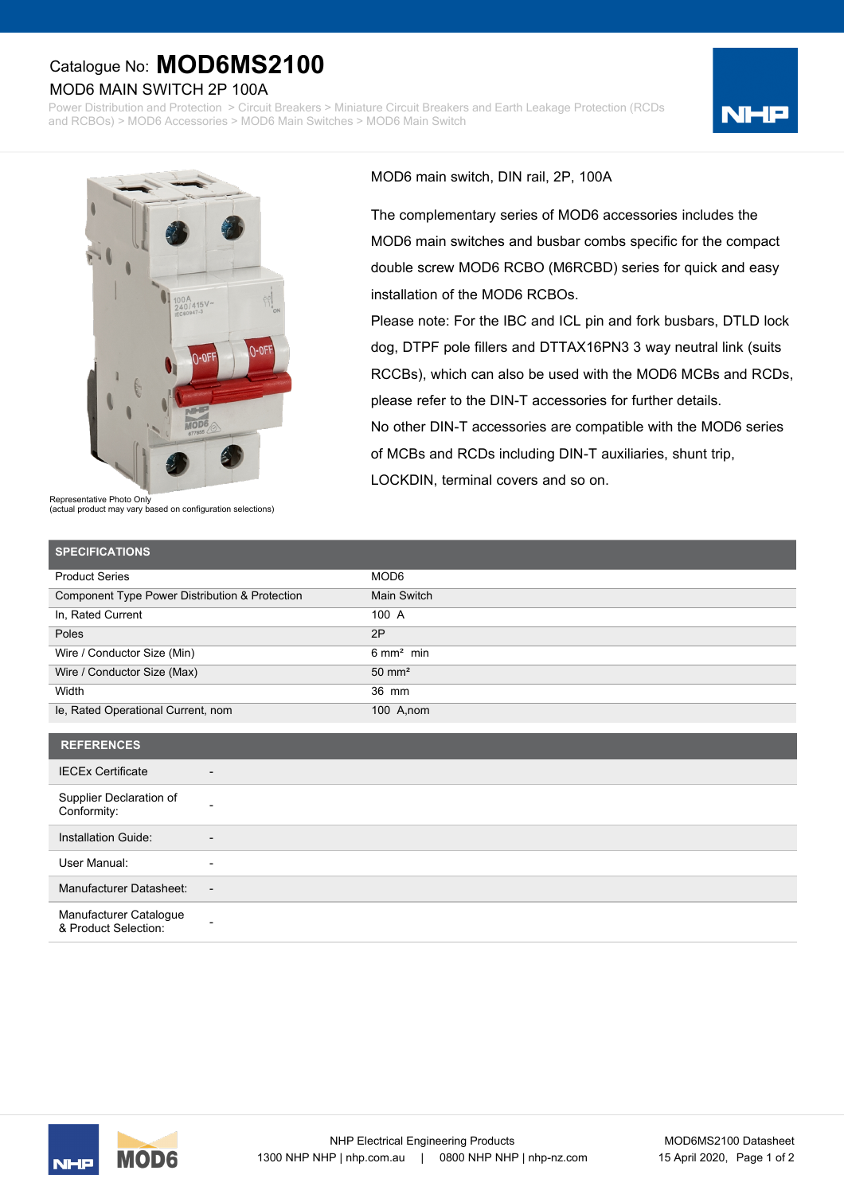## Catalogue No: **MOD6MS2100**

## MOD6 MAIN SWITCH 2P 100A

Power Distribution and Protection > Circuit Breakers > Miniature Circuit Breakers and Earth Leakage Protection (RCDs and RCBOs) > MOD6 Accessories > MOD6 Main Switches > MOD6 Main Switch





Representative Photo Only (actual product may vary based on configuration selections) MOD6 main switch, DIN rail, 2P, 100A

The complementary series of MOD6 accessories includes the MOD6 main switches and busbar combs specific for the compact double screw MOD6 RCBO (M6RCBD) series for quick and easy installation of the MOD6 RCBOs.

Please note: For the IBC and ICL pin and fork busbars, DTLD lock dog, DTPF pole fillers and DTTAX16PN3 3 way neutral link (suits RCCBs), which can also be used with the MOD6 MCBs and RCDs, please refer to the DIN-T accessories for further details. No other DIN-T accessories are compatible with the MOD6 series of MCBs and RCDs including DIN-T auxiliaries, shunt trip, LOCKDIN, terminal covers and so on.

| <b>SPECIFICATIONS</b>                          |                      |
|------------------------------------------------|----------------------|
| <b>Product Series</b>                          | MOD6                 |
| Component Type Power Distribution & Protection | Main Switch          |
| In, Rated Current                              | 100 A                |
| Poles                                          | 2P                   |
| Wire / Conductor Size (Min)                    | $6 \text{ mm}^2$ min |
| Wire / Conductor Size (Max)                    | $50 \text{ mm}^2$    |
| Width                                          | 36 mm                |
| le, Rated Operational Current, nom             | 100 A, nom           |
|                                                |                      |

| <b>REFERENCES</b>                              |                          |
|------------------------------------------------|--------------------------|
| <b>IECEx Certificate</b>                       | $\overline{\phantom{0}}$ |
| Supplier Declaration of<br>Conformity:         |                          |
| Installation Guide:                            | $\overline{\phantom{0}}$ |
| User Manual:                                   | ٠                        |
| Manufacturer Datasheet:                        | $\overline{\phantom{a}}$ |
| Manufacturer Catalogue<br>& Product Selection: | ۰                        |